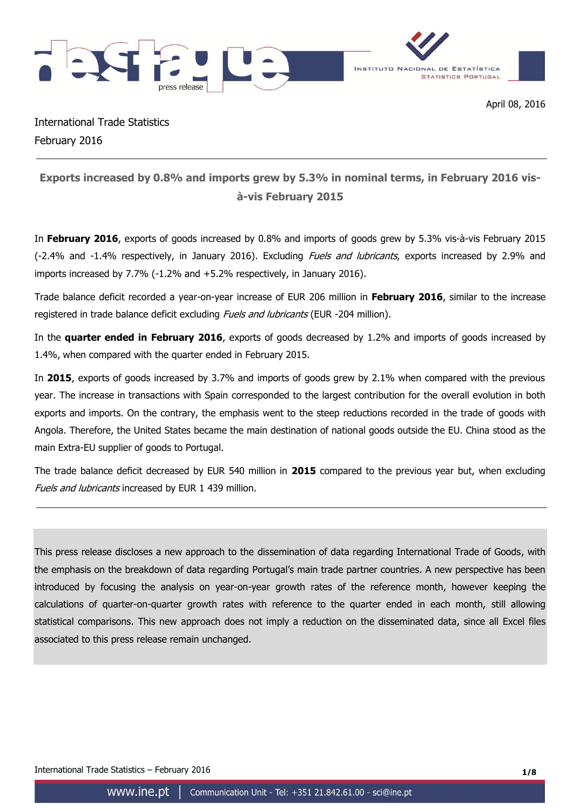



International Trade Statistics February 2016

# **Exports increased by 0.8% and imports grew by 5.3% in nominal terms, in February 2016 visà-vis February 2015**

In **February 2016**, exports of goods increased by 0.8% and imports of goods grew by 5.3% vis-à-vis February 2015 (-2.4% and -1.4% respectively, in January 2016). Excluding *Fuels and lubricants*, exports increased by 2.9% and imports increased by 7.7% (-1.2% and +5.2% respectively, in January 2016).

Trade balance deficit recorded a year-on-year increase of EUR 206 million in **February 2016**, similar to the increase registered in trade balance deficit excluding *Fuels and lubricants* (EUR -204 million).

In the **quarter ended in February 2016**, exports of goods decreased by 1.2% and imports of goods increased by 1.4%, when compared with the quarter ended in February 2015.

In **2015**, exports of goods increased by 3.7% and imports of goods grew by 2.1% when compared with the previous year. The increase in transactions with Spain corresponded to the largest contribution for the overall evolution in both exports and imports. On the contrary, the emphasis went to the steep reductions recorded in the trade of goods with Angola. Therefore, the United States became the main destination of national goods outside the EU. China stood as the main Extra-EU supplier of goods to Portugal.

The trade balance deficit decreased by EUR 540 million in **2015** compared to the previous year but, when excluding Fuels and lubricants increased by EUR 1 439 million.

This press release discloses a new approach to the dissemination of data regarding International Trade of Goods, with the emphasis on the breakdown of data regarding Portugal's main trade partner countries. A new perspective has been introduced by focusing the analysis on year-on-year growth rates of the reference month, however keeping the calculations of quarter-on-quarter growth rates with reference to the quarter ended in each month, still allowing statistical comparisons. This new approach does not imply a reduction on the disseminated data, since all Excel files associated to this press release remain unchanged.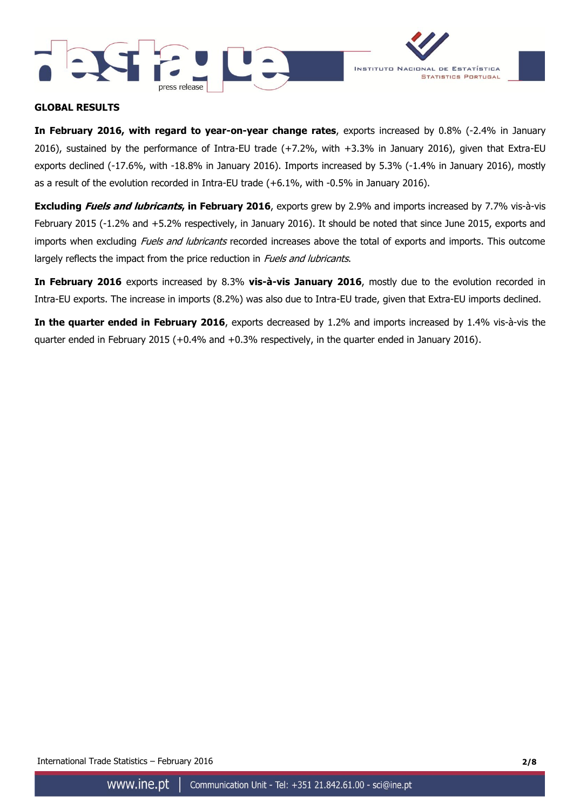



### **GLOBAL RESULTS**

**In February 2016, with regard to year-on-year change rates**, exports increased by 0.8% (-2.4% in January 2016), sustained by the performance of Intra-EU trade (+7.2%, with +3.3% in January 2016), given that Extra-EU exports declined (-17.6%, with -18.8% in January 2016). Imports increased by 5.3% (-1.4% in January 2016), mostly as a result of the evolution recorded in Intra-EU trade (+6.1%, with -0.5% in January 2016).

**Excluding Fuels and lubricants, in February 2016**, exports grew by 2.9% and imports increased by 7.7% vis-à-vis February 2015 (-1.2% and +5.2% respectively, in January 2016). It should be noted that since June 2015, exports and imports when excluding Fuels and lubricants recorded increases above the total of exports and imports. This outcome largely reflects the impact from the price reduction in *Fuels and lubricants*.

**In February 2016** exports increased by 8.3% **vis-à-vis January 2016**, mostly due to the evolution recorded in Intra-EU exports. The increase in imports (8.2%) was also due to Intra-EU trade, given that Extra-EU imports declined.

**In the quarter ended in February 2016**, exports decreased by 1.2% and imports increased by 1.4% vis-à-vis the quarter ended in February 2015 (+0.4% and +0.3% respectively, in the quarter ended in January 2016).

International Trade Statistics – February 2016 **2/8**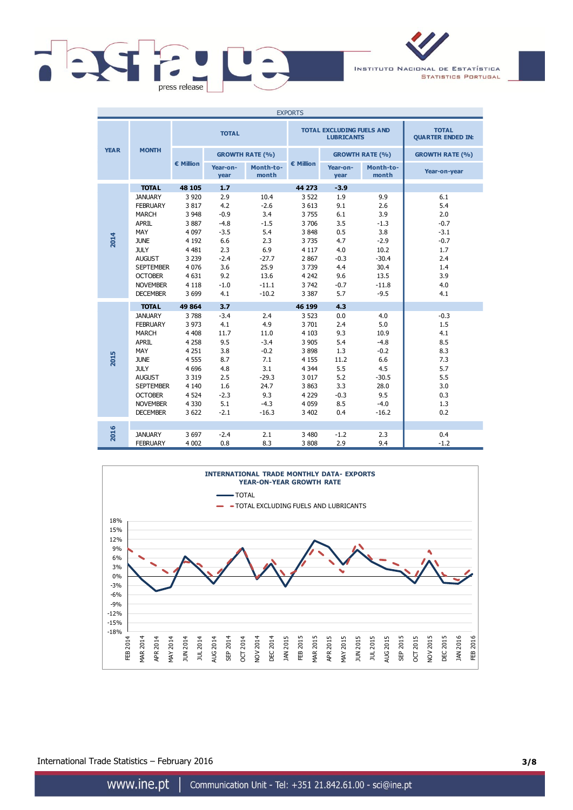

INSTITUTO NACIONAL DE ESTATÍSTICA **STATISTICS PORTUGAL** 

| <b>EXPORTS</b> |                  |           |                        |                    |           |                                                       |                                          |                        |
|----------------|------------------|-----------|------------------------|--------------------|-----------|-------------------------------------------------------|------------------------------------------|------------------------|
|                |                  |           | <b>TOTAL</b>           |                    |           | <b>TOTAL EXCLUDING FUELS AND</b><br><b>LUBRICANTS</b> | <b>TOTAL</b><br><b>QUARTER ENDED IN:</b> |                        |
| <b>YEAR</b>    | <b>MONTH</b>     |           | <b>GROWTH RATE (%)</b> |                    |           |                                                       | <b>GROWTH RATE (%)</b>                   | <b>GROWTH RATE (%)</b> |
|                |                  | € Million | Year-on-<br>year       | Month-to-<br>month | € Million | Year-on-<br>year                                      | Month-to-<br>month                       | Year-on-year           |
|                | <b>TOTAL</b>     | 48 105    | 1.7                    |                    | 44 273    | $-3.9$                                                |                                          |                        |
|                | <b>JANUARY</b>   | 3 9 2 0   | 2.9                    | 10.4               | 3 5 22    | 1.9                                                   | 9.9                                      | 6.1                    |
|                | <b>FEBRUARY</b>  | 3817      | 4.2                    | $-2.6$             | 3 6 1 3   | 9.1                                                   | 2.6                                      | 5.4                    |
|                | <b>MARCH</b>     | 3 9 4 8   | $-0.9$                 | 3.4                | 3755      | 6.1                                                   | 3.9                                      | 2.0                    |
|                | <b>APRIL</b>     | 3887      | $-4.8$                 | $-1.5$             | 3706      | 3.5                                                   | $-1.3$                                   | $-0.7$                 |
|                | MAY              | 4 0 9 7   | $-3.5$                 | 5.4                | 3848      | 0.5                                                   | 3.8                                      | $-3.1$                 |
| 2014           | <b>JUNE</b>      | 4 1 9 2   | 6.6                    | 2.3                | 3735      | 4.7                                                   | $-2.9$                                   | $-0.7$                 |
|                | <b>JULY</b>      | 4 4 8 1   | 2.3                    | 6.9                | 4 1 1 7   | 4.0                                                   | 10.2                                     | 1.7                    |
|                | <b>AUGUST</b>    | 3 2 3 9   | $-2.4$                 | $-27.7$            | 2 8 6 7   | $-0.3$                                                | $-30.4$                                  | 2.4                    |
|                | <b>SEPTEMBER</b> | 4 0 7 6   | 3.6                    | 25.9               | 3739      | 4.4                                                   | 30.4                                     | 1.4                    |
|                | <b>OCTOBER</b>   | 4 6 31    | 9.2                    | 13.6               | 4 2 4 2   | 9.6                                                   | 13.5                                     | 3.9                    |
|                | <b>NOVEMBER</b>  | 4 1 1 8   | $-1.0$                 | $-11.1$            | 3742      | $-0.7$                                                | $-11.8$                                  | 4.0                    |
|                | <b>DECEMBER</b>  | 3 6 9 9   | 4.1                    | $-10.2$            | 3 3 8 7   | 5.7                                                   | $-9.5$                                   | 4.1                    |
|                | <b>TOTAL</b>     | 49 864    | 3.7                    |                    | 46 199    | 4.3                                                   |                                          |                        |
|                | <b>JANUARY</b>   | 3788      | $-3.4$                 | 2.4                | 3 5 2 3   | 0.0                                                   | 4.0                                      | $-0.3$                 |
|                | <b>FEBRUARY</b>  | 3 9 7 3   | 4.1                    | 4.9                | 3701      | 2.4                                                   | 5.0                                      | 1.5                    |
|                | <b>MARCH</b>     | 4 4 0 8   | 11.7                   | 11.0               | 4 1 0 3   | 9.3                                                   | 10.9                                     | 4.1                    |
|                | <b>APRIL</b>     | 4 2 5 8   | 9.5                    | $-3.4$             | 3 9 0 5   | 5.4                                                   | $-4.8$                                   | 8.5                    |
|                | MAY              | 4 2 5 1   | 3.8                    | $-0.2$             | 3898      | 1.3                                                   | $-0.2$                                   | 8.3                    |
| 2015           | <b>JUNE</b>      | 4 5 5 5   | 8.7                    | 7.1                | 4 1 5 5   | 11.2                                                  | 6.6                                      | 7.3                    |
|                | <b>JULY</b>      | 4 6 9 6   | 4.8                    | 3.1                | 4 3 4 4   | 5.5                                                   | 4.5                                      | 5.7                    |
|                | <b>AUGUST</b>    | 3 3 1 9   | 2.5                    | $-29.3$            | 3 0 1 7   | 5.2                                                   | $-30.5$                                  | 5.5                    |
|                | <b>SEPTEMBER</b> | 4 1 4 0   | 1.6                    | 24.7               | 3863      | 3.3                                                   | 28.0                                     | 3.0                    |
|                | <b>OCTOBER</b>   | 4 5 2 4   | $-2.3$                 | 9.3                | 4 2 2 9   | $-0.3$                                                | 9.5                                      | 0.3                    |
|                | <b>NOVEMBER</b>  | 4 3 3 0   | 5.1                    | $-4.3$             | 4 0 5 9   | 8.5                                                   | $-4.0$                                   | 1.3                    |
|                | <b>DECEMBER</b>  | 3 6 22    | $-2.1$                 | $-16.3$            | 3 4 0 2   | 0.4                                                   | $-16.2$                                  | 0.2                    |
|                |                  |           |                        |                    |           |                                                       |                                          |                        |
| 2016           | <b>JANUARY</b>   | 3 6 9 7   | $-2.4$                 | 2.1                | 3 4 8 0   | $-1.2$                                                | 2.3                                      | 0.4                    |
|                | <b>FEBRUARY</b>  | 4 0 0 2   | 0.8                    | 8.3                | 3 8 0 8   | 2.9                                                   | 9.4                                      | $-1.2$                 |



International Trade Statistics – February 2016 **3/8**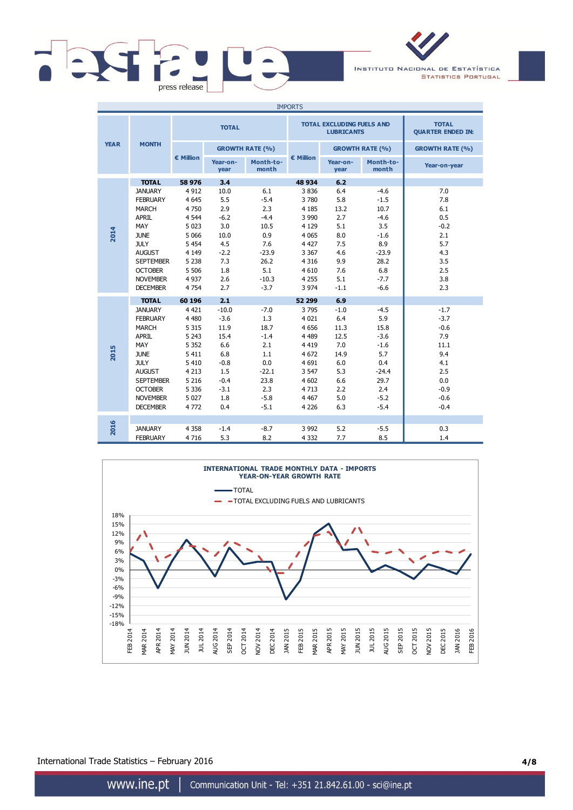

INSTITUTO NACIONAL DE ESTATÍSTICA **STATISTICS PORTUGAL** 

| <b>IMPORTS</b> |                  |              |                        |                    |                    |                                                       |                                          |                        |
|----------------|------------------|--------------|------------------------|--------------------|--------------------|-------------------------------------------------------|------------------------------------------|------------------------|
|                |                  | <b>TOTAL</b> |                        |                    |                    | <b>TOTAL EXCLUDING FUELS AND</b><br><b>LUBRICANTS</b> | <b>TOTAL</b><br><b>QUARTER ENDED IN:</b> |                        |
| <b>YEAR</b>    | <b>MONTH</b>     |              | <b>GROWTH RATE (%)</b> |                    |                    |                                                       | <b>GROWTH RATE (%)</b>                   | <b>GROWTH RATE (%)</b> |
|                |                  | € Million    | Year-on-<br>year       | Month-to-<br>month | $\epsilon$ Million | Year-on-<br>year                                      | Month-to-<br>month                       | Year-on-year           |
|                | <b>TOTAL</b>     | 58 976       | 3.4                    |                    | 48 934             | 6.2                                                   |                                          |                        |
|                | <b>JANUARY</b>   | 4 9 1 2      | 10.0                   | 6.1                | 3836               | 6.4                                                   | $-4.6$                                   | 7.0                    |
|                | <b>FEBRUARY</b>  | 4 6 4 5      | 5.5                    | $-5.4$             | 3780               | 5.8                                                   | $-1.5$                                   | 7.8                    |
|                | <b>MARCH</b>     | 4750         | 2.9                    | 2.3                | 4 1 8 5            | 13.2                                                  | 10.7                                     | 6.1                    |
|                | APRIL            | 4 5 4 4      | $-6.2$                 | $-4.4$             | 3 9 9 0            | 2.7                                                   | $-4.6$                                   | 0.5                    |
|                | MAY              | 5 0 23       | 3.0                    | 10.5               | 4 1 2 9            | 5.1                                                   | 3.5                                      | $-0.2$                 |
| 2014           | <b>JUNE</b>      | 5 0 6 6      | 10.0                   | 0.9                | 4 0 6 5            | 8.0                                                   | $-1.6$                                   | 2.1                    |
|                | <b>JULY</b>      | 5 4 5 4      | 4.5                    | 7.6                | 4 4 2 7            | 7.5                                                   | 8.9                                      | 5.7                    |
|                | <b>AUGUST</b>    | 4 1 4 9      | $-2.2$                 | $-23.9$            | 3 3 6 7            | 4.6                                                   | $-23.9$                                  | 4.3                    |
|                | <b>SEPTEMBER</b> | 5 2 3 8      | 7.3                    | 26.2               | 4 3 1 6            | 9.9                                                   | 28.2                                     | 3.5                    |
|                | <b>OCTOBER</b>   | 5 5 0 6      | 1.8                    | 5.1                | 4 6 1 0            | 7.6                                                   | 6.8                                      | 2.5                    |
|                | <b>NOVEMBER</b>  | 4 9 3 7      | 2.6                    | $-10.3$            | 4 2 5 5            | 5.1                                                   | $-7.7$                                   | 3.8                    |
|                | <b>DECEMBER</b>  | 4 7 5 4      | 2.7                    | $-3.7$             | 3 9 7 4            | $-1.1$                                                | $-6.6$                                   | 2.3                    |
|                | <b>TOTAL</b>     | 60 196       | 2.1                    |                    | 52 299             | 6.9                                                   |                                          |                        |
|                | <b>JANUARY</b>   | 4 4 2 1      | $-10.0$                | $-7.0$             | 3795               | $-1.0$                                                | $-4.5$                                   | $-1.7$                 |
|                | <b>FEBRUARY</b>  | 4 4 8 0      | $-3.6$                 | 1.3                | 4 0 2 1            | 6.4                                                   | 5.9                                      | $-3.7$                 |
|                | <b>MARCH</b>     | 5 3 1 5      | 11.9                   | 18.7               | 4 6 5 6            | 11.3                                                  | 15.8                                     | $-0.6$                 |
|                | APRIL            | 5 2 4 3      | 15.4                   | $-1.4$             | 4 4 8 9            | 12.5                                                  | $-3.6$                                   | 7.9                    |
|                | MAY              | 5 3 5 2      | 6.6                    | 2.1                | 4 4 1 9            | 7.0                                                   | $-1.6$                                   | 11.1                   |
| 2015           | <b>JUNE</b>      | 5 4 1 1      | 6.8                    | 1.1                | 4 6 7 2            | 14.9                                                  | 5.7                                      | 9.4                    |
|                | <b>JULY</b>      | 5 4 1 0      | $-0.8$                 | 0.0                | 4 6 9 1            | 6.0                                                   | 0.4                                      | 4.1                    |
|                | <b>AUGUST</b>    | 4 2 1 3      | 1.5                    | $-22.1$            | 3 5 4 7            | 5.3                                                   | $-24.4$                                  | 2.5                    |
|                | <b>SEPTEMBER</b> | 5 2 1 6      | $-0.4$                 | 23.8               | 4 602              | 6.6                                                   | 29.7                                     | 0.0                    |
|                | <b>OCTOBER</b>   | 5 3 3 6      | $-3.1$                 | 2.3                | 4713               | 2.2                                                   | 2.4                                      | $-0.9$                 |
|                | <b>NOVEMBER</b>  | 5 0 2 7      | 1.8                    | $-5.8$             | 4 4 6 7            | 5.0                                                   | $-5.2$                                   | $-0.6$                 |
|                | <b>DECEMBER</b>  | 4772         | 0.4                    | $-5.1$             | 4 2 2 6            | 6.3                                                   | $-5.4$                                   | $-0.4$                 |
|                |                  |              |                        |                    |                    |                                                       |                                          |                        |
| 2016           | <b>JANUARY</b>   | 4 3 5 8      | $-1.4$                 | $-8.7$             | 3 9 9 2            | 5.2                                                   | $-5.5$                                   | 0.3                    |
|                | <b>FEBRUARY</b>  | 4716         | 5.3                    | 8.2                | 4 3 3 2            | 7.7                                                   | 8.5                                      | 1.4                    |



International Trade Statistics – February 2016 **4/8**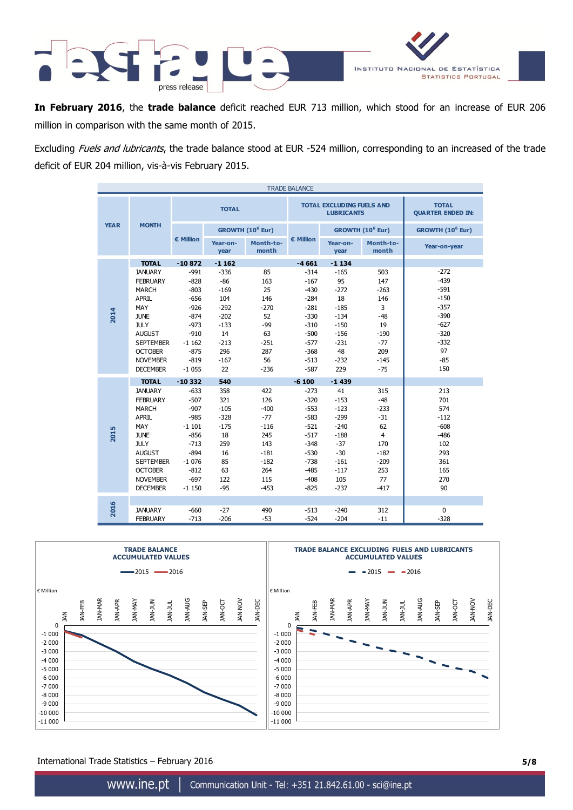

**In February 2016**, the **trade balance** deficit reached EUR 713 million, which stood for an increase of EUR 206 million in comparison with the same month of 2015.

Excluding Fuels and lubricants, the trade balance stood at EUR -524 million, corresponding to an increased of the trade deficit of EUR 204 million, vis-à-vis February 2015.

| <b>TRADE BALANCE</b> |                  |                    |                  |                              |           |                                                       |                                          |                              |
|----------------------|------------------|--------------------|------------------|------------------------------|-----------|-------------------------------------------------------|------------------------------------------|------------------------------|
|                      |                  |                    | <b>TOTAL</b>     |                              |           | <b>TOTAL EXCLUDING FUELS AND</b><br><b>LUBRICANTS</b> | <b>TOTAL</b><br><b>QUARTER ENDED IN:</b> |                              |
| <b>YEAR</b>          | <b>MONTH</b>     |                    |                  | GROWTH (10 <sup>6</sup> Eur) |           |                                                       | GROWTH (10 <sup>6</sup> Eur)             | GROWTH (10 <sup>6</sup> Eur) |
|                      |                  | $\epsilon$ Million | Year-on-<br>year | Month-to-<br>month           | € Million | Year-on-<br>year                                      | Month-to-<br>month                       | Year-on-year                 |
|                      | <b>TOTAL</b>     | $-10872$           | $-1162$          |                              | $-4661$   | $-1134$                                               |                                          |                              |
|                      | <b>JANUARY</b>   | $-991$             | $-336$           | 85                           | $-314$    | $-165$                                                | 503                                      | $-272$                       |
|                      | <b>FEBRUARY</b>  | $-828$             | $-86$            | 163                          | $-167$    | 95                                                    | 147                                      | $-439$                       |
|                      | <b>MARCH</b>     | $-803$             | $-169$           | 25                           | $-430$    | $-272$                                                | $-263$                                   | $-591$                       |
|                      | <b>APRIL</b>     | $-656$             | 104              | 146                          | $-284$    | 18                                                    | 146                                      | $-150$                       |
|                      | MAY              | $-926$             | $-292$           | $-270$                       | $-281$    | $-185$                                                | 3                                        | $-357$                       |
| 2014                 | <b>JUNE</b>      | $-874$             | $-202$           | 52                           | $-330$    | $-134$                                                | $-48$                                    | $-390$                       |
|                      | <b>JULY</b>      | $-973$             | $-133$           | $-99$                        | $-310$    | $-150$                                                | 19                                       | $-627$                       |
|                      | <b>AUGUST</b>    | $-910$             | 14               | 63                           | $-500$    | $-156$                                                | $-190$                                   | $-320$                       |
|                      | <b>SEPTEMBER</b> | $-1162$            | $-213$           | $-251$                       | $-577$    | $-231$                                                | $-77$                                    | $-332$                       |
|                      | <b>OCTOBER</b>   | $-875$             | 296              | 287                          | $-368$    | 48                                                    | 209                                      | 97                           |
|                      | <b>NOVEMBER</b>  | $-819$             | $-167$           | 56                           | $-513$    | $-232$                                                | $-145$                                   | $-85$                        |
|                      | <b>DECEMBER</b>  | $-1055$            | 22               | $-236$                       | $-587$    | 229                                                   | $-75$                                    | 150                          |
|                      | <b>TOTAL</b>     | $-10332$           | 540              |                              | $-6100$   | $-1439$                                               |                                          |                              |
|                      | <b>JANUARY</b>   | $-633$             | 358              | 422                          | $-273$    | 41                                                    | 315                                      | 213                          |
|                      | <b>FEBRUARY</b>  | $-507$             | 321              | 126                          | $-320$    | $-153$                                                | $-48$                                    | 701                          |
|                      | <b>MARCH</b>     | $-907$             | $-105$           | $-400$                       | $-553$    | $-123$                                                | $-233$                                   | 574                          |
|                      | <b>APRIL</b>     | $-985$             | $-328$           | $-77$                        | $-583$    | $-299$                                                | $-31$                                    | $-112$                       |
|                      | MAY              | $-1101$            | $-175$           | $-116$                       | $-521$    | $-240$                                                | 62                                       | $-608$                       |
| 2015                 | <b>JUNE</b>      | $-856$             | 18               | 245                          | $-517$    | $-188$                                                | $\overline{4}$                           | $-486$                       |
|                      | <b>JULY</b>      | $-713$             | 259              | 143                          | $-348$    | $-37$                                                 | 170                                      | 102                          |
|                      | <b>AUGUST</b>    | $-894$             | 16               | $-181$                       | $-530$    | $-30$                                                 | $-182$                                   | 293                          |
|                      | <b>SEPTEMBER</b> | $-1076$            | 85               | $-182$                       | $-738$    | $-161$                                                | $-209$                                   | 361                          |
|                      | <b>OCTOBER</b>   | $-812$             | 63               | 264                          | $-485$    | $-117$                                                | 253                                      | 165                          |
|                      | <b>NOVEMBER</b>  | $-697$             | 122              | 115                          | $-408$    | 105                                                   | 77                                       | 270                          |
|                      | <b>DECEMBER</b>  | $-1150$            | $-95$            | $-453$                       | $-825$    | $-237$                                                | $-417$                                   | 90                           |
|                      |                  |                    |                  |                              |           |                                                       |                                          |                              |
| 2016                 | <b>JANUARY</b>   | $-660$             | $-27$            | 490                          | $-513$    | $-240$                                                | 312                                      | $\Omega$                     |
|                      | <b>FEBRUARY</b>  | $-713$             | $-206$           | $-53$                        | $-524$    | $-204$                                                | $-11$                                    | $-328$                       |



International Trade Statistics – February 2016 **5/8**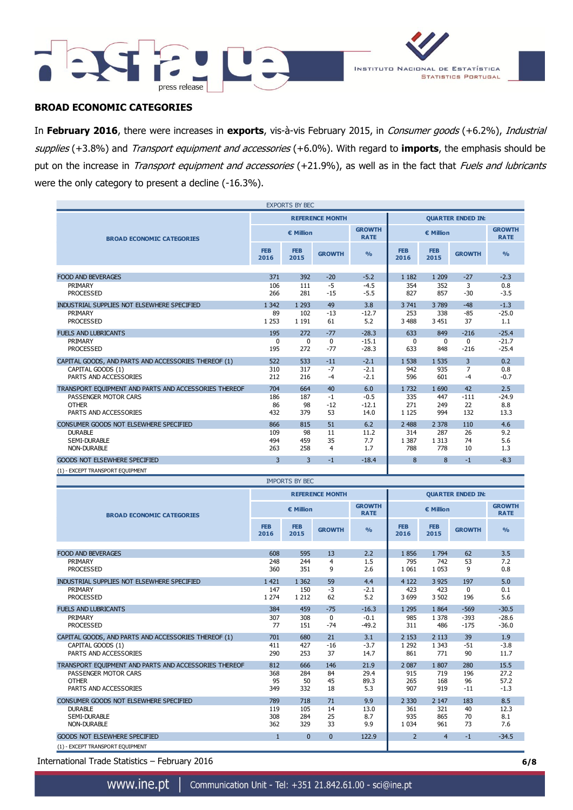



## **BROAD ECONOMIC CATEGORIES**

In **February 2016**, there were increases in **exports**, vis-à-vis February 2015, in Consumer goods (+6.2%), Industrial supplies (+3.8%) and Transport equipment and accessories (+6.0%). With regard to **imports**, the emphasis should be put on the increase in Transport equipment and accessories (+21.9%), as well as in the fact that Fuels and lubricants were the only category to present a decline (-16.3%).

| <b>EXPORTS BY BEC</b>                                         |                    |                    |                        |                              |                          |                       |                        |                              |
|---------------------------------------------------------------|--------------------|--------------------|------------------------|------------------------------|--------------------------|-----------------------|------------------------|------------------------------|
|                                                               |                    |                    | <b>REFERENCE MONTH</b> |                              | <b>QUARTER ENDED IN:</b> |                       |                        |                              |
| <b>BROAD ECONOMIC CATEGORIES</b>                              |                    | € Million          |                        | <b>GROWTH</b><br><b>RATE</b> | € Million                |                       |                        | <b>GROWTH</b><br><b>RATE</b> |
|                                                               | <b>FEB</b><br>2016 | <b>FEB</b><br>2015 | <b>GROWTH</b>          | O <sub>0</sub>               | <b>FEB</b><br>2016       | <b>FEB</b><br>2015    | <b>GROWTH</b>          | O <sub>0</sub>               |
|                                                               |                    |                    |                        |                              |                          |                       |                        |                              |
| <b>FOOD AND BEVERAGES</b>                                     | 371                | 392                | $-20$                  | $-5.2$                       | 1 1 8 2                  | 1 2 0 9               | $-27$                  | $-2.3$                       |
| PRIMARY<br><b>PROCESSED</b>                                   | 106<br>266         | 111<br>281         | $-5$<br>$-15$          | $-4.5$<br>$-5.5$             | 354<br>827               | 352<br>857            | 3<br>$-30$             | 0.8<br>$-3.5$                |
| INDUSTRIAL SUPPLIES NOT ELSEWHERE SPECIFIED                   | 1 3 4 2            | 1 2 9 3            | 49                     | 3.8                          | 3 741                    | 3 7 8 9               | $-48$                  | $-1.3$                       |
| PRIMARY<br><b>PROCESSED</b>                                   | 89<br>1 2 5 3      | 102<br>1 1 9 1     | $-13$<br>61            | $-12.7$<br>5.2               | 253<br>3 4 8 8           | 338<br>3 4 5 1        | $-85$<br>37            | $-25.0$<br>1.1               |
| <b>FUELS AND LUBRICANTS</b>                                   | 195                | 272                | $-77$                  | $-28.3$                      | 633                      | 849                   | $-216$                 | $-25.4$                      |
| PRIMARY<br><b>PROCESSED</b>                                   | 0<br>195           | $\mathbf 0$<br>272 | 0<br>$-77$             | $-15.1$<br>$-28.3$           | 0<br>633                 | 0<br>848              | $\mathbf{0}$<br>$-216$ | $-21.7$<br>$-25.4$           |
| CAPITAL GOODS, AND PARTS AND ACCESSORIES THEREOF (1)          | 522                | 533                | $-11$                  | $-2.1$                       | 1 5 3 8                  | 1 5 3 5               | 3                      | 0.2                          |
| CAPITAL GOODS (1)<br>PARTS AND ACCESSORIES                    | 310<br>212         | 317<br>216         | $-7$<br>$-4$           | $-2.1$<br>$-2.1$             | 942<br>596               | 935<br>601            | 7<br>$-4$              | 0.8<br>$-0.7$                |
| TRANSPORT EQUIPMENT AND PARTS AND ACCESSORIES THEREOF         | 704                | 664                | 40                     | 6.0                          | 1732                     | 1 6 9 0               | 42                     | 2.5                          |
| PASSENGER MOTOR CARS<br><b>OTHER</b><br>PARTS AND ACCESSORIES | 186<br>86<br>432   | 187<br>98<br>379   | $-1$<br>$-12$<br>53    | $-0.5$<br>$-12.1$<br>14.0    | 335<br>271<br>1 1 2 5    | 447<br>249<br>994     | $-111$<br>22<br>132    | $-24.9$<br>8.8<br>13.3       |
| CONSUMER GOODS NOT ELSEWHERE SPECIFIED                        | 866                | 815                | 51                     | 6.2                          | 2 4 8 8                  | 2 3 7 8               | 110                    | 4.6                          |
| <b>DURABLE</b><br>SEMI-DURABLE<br><b>NON-DURABLE</b>          | 109<br>494<br>263  | 98<br>459<br>258   | 11<br>35<br>4          | 11.2<br>7.7<br>1.7           | 314<br>1 3 8 7<br>788    | 287<br>1 3 1 3<br>778 | 26<br>74<br>10         | 9.2<br>5.6<br>1.3            |
| <b>GOODS NOT ELSEWHERE SPECIFIED</b>                          | 3                  | 3                  | $-1$                   | $-18.4$                      | 8                        | 8                     | $-1$                   | $-8.3$                       |
| (1) - EXCEPT TRANSPORT EQUIPMENT                              |                    |                    |                        |                              |                          |                       |                        |                              |

| <b>IMPORTS BY BEC</b>                                 |                    |                    |                        |                              |                          |                    |               |                              |
|-------------------------------------------------------|--------------------|--------------------|------------------------|------------------------------|--------------------------|--------------------|---------------|------------------------------|
|                                                       |                    |                    | <b>REFERENCE MONTH</b> |                              | <b>OUARTER ENDED IN:</b> |                    |               |                              |
| <b>BROAD ECONOMIC CATEGORIES</b>                      |                    | € Million          |                        | <b>GROWTH</b><br><b>RATE</b> | € Million                |                    |               | <b>GROWTH</b><br><b>RATE</b> |
|                                                       | <b>FEB</b><br>2016 | <b>FEB</b><br>2015 | <b>GROWTH</b>          | $\frac{9}{6}$                | <b>FEB</b><br>2016       | <b>FEB</b><br>2015 | <b>GROWTH</b> | $\frac{0}{0}$                |
|                                                       |                    |                    |                        |                              |                          |                    |               |                              |
| <b>FOOD AND BEVERAGES</b>                             | 608                | 595                | 13                     | 2.2                          | 1856                     | 1 7 9 4            | 62            | 3.5                          |
| PRIMARY                                               | 248                | 244                | $\overline{4}$         | 1.5                          | 795                      | 742                | 53            | 7.2                          |
| <b>PROCESSED</b>                                      | 360                | 351                | 9                      | 2.6                          | 1 0 6 1                  | 1 0 5 3            | 9             | 0.8                          |
| INDUSTRIAL SUPPLIES NOT ELSEWHERE SPECIFIED           | 1 4 2 1            | 1 3 6 2            | 59                     | 4.4                          | 4 1 2 2                  | 3 9 2 5            | 197           | 5.0                          |
| PRIMARY                                               | 147                | 150                | $-3$                   | $-2.1$                       | 423                      | 423                | $\Omega$      | 0.1                          |
| <b>PROCESSED</b>                                      | 1 2 7 4            | 1 2 1 2            | 62                     | 5.2                          | 3699                     | 3 5 0 2            | 196           | 5.6                          |
| <b>FUELS AND LUBRICANTS</b>                           | 384                | 459                | $-75$                  | $-16.3$                      | 1 2 9 5                  | 1864               | $-569$        | $-30.5$                      |
| PRIMARY                                               | 307                | 308                | 0                      | $-0.1$                       | 985                      | 1 3 7 8            | $-393$        | $-28.6$                      |
| <b>PROCESSED</b>                                      | 77                 | 151                | $-74$                  | $-49.2$                      | 311                      | 486                | $-175$        | $-36.0$                      |
| CAPITAL GOODS, AND PARTS AND ACCESSORIES THEREOF (1)  | 701                | 680                | 21                     | 3.1                          | 2 1 5 3                  | 2 1 1 3            | 39            | 1.9                          |
| CAPITAL GOODS (1)                                     | 411                | 427                | $-16$                  | $-3.7$                       | 1 2 9 2                  | 1 3 4 3            | $-51$         | $-3.8$                       |
| PARTS AND ACCESSORIES                                 | 290                | 253                | 37                     | 14.7                         | 861                      | 771                | 90            | 11.7                         |
| TRANSPORT EQUIPMENT AND PARTS AND ACCESSORIES THEREOF | 812                | 666                | 146                    | 21.9                         | 2 0 8 7                  | 1807               | 280           | 15.5                         |
| PASSENGER MOTOR CARS                                  | 368                | 284                | 84                     | 29.4                         | 915                      | 719                | 196           | 27.2                         |
| <b>OTHER</b>                                          | 95                 | 50                 | 45                     | 89.3                         | 265                      | 168                | 96            | 57.2                         |
| PARTS AND ACCESSORIES                                 | 349                | 332                | 18                     | 5.3                          | 907                      | 919                | $-11$         | $-1.3$                       |
| CONSUMER GOODS NOT ELSEWHERE SPECIFIED                | 789                | 718                | 71                     | 9.9                          | 2 3 3 0                  | 2 1 4 7            | 183           | 8.5                          |
| <b>DURABLE</b>                                        | 119                | 105                | 14                     | 13.0                         | 361                      | 321                | 40            | 12.3                         |
| SEMI-DURABLE                                          | 308                | 284                | 25                     | 8.7                          | 935                      | 865                | 70            | 8.1                          |
| <b>NON-DURABLE</b>                                    | 362                | 329                | 33                     | 9.9                          | 1 0 3 4                  | 961                | 73            | 7.6                          |
| <b>GOODS NOT ELSEWHERE SPECIFIED</b>                  | $\mathbf{1}$       | $\mathbf{0}$       | $\Omega$               | 122.9                        | $\overline{2}$           | $\overline{4}$     | $-1$          | $-34.5$                      |
| (1) - EXCEPT TRANSPORT EQUIPMENT                      |                    |                    |                        |                              |                          |                    |               |                              |

International Trade Statistics – February 2016 **6/8**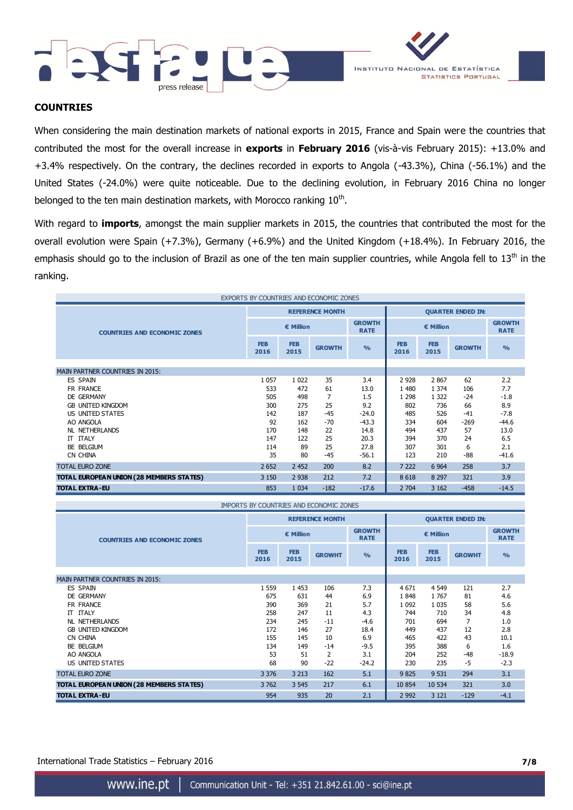



## **COUNTRIES**

When considering the main destination markets of national exports in 2015, France and Spain were the countries that contributed the most for the overall increase in **exports** in **February 2016** (vis-à-vis February 2015): +13.0% and +3.4% respectively. On the contrary, the declines recorded in exports to Angola (-43.3%), China (-56.1%) and the United States (-24.0%) were quite noticeable. Due to the declining evolution, in February 2016 China no longer belonged to the ten main destination markets, with Morocco ranking  $10<sup>th</sup>$ .

With regard to **imports**, amongst the main supplier markets in 2015, the countries that contributed the most for the overall evolution were Spain (+7.3%), Germany (+6.9%) and the United Kingdom (+18.4%). In February 2016, the emphasis should go to the inclusion of Brazil as one of the ten main supplier countries, while Angola fell to 13<sup>th</sup> in the ranking.

| EXPORTS BY COUNTRIES AND ECONOMIC ZONES  |                    |                    |                        |                              |                          |                    |               |                              |
|------------------------------------------|--------------------|--------------------|------------------------|------------------------------|--------------------------|--------------------|---------------|------------------------------|
|                                          |                    |                    | <b>REFERENCE MONTH</b> |                              | <b>QUARTER ENDED IN:</b> |                    |               |                              |
| <b>COUNTRIES AND ECONOMIC ZONES</b>      | € Million          |                    |                        | <b>GROWTH</b><br><b>RATE</b> | € Million                |                    |               | <b>GROWTH</b><br><b>RATE</b> |
|                                          | <b>FEB</b><br>2016 | <b>FEB</b><br>2015 | <b>GROWTH</b>          | $\frac{0}{0}$                | <b>FEB</b><br>2016       | <b>FEB</b><br>2015 | <b>GROWTH</b> | $\frac{9}{0}$                |
|                                          |                    |                    |                        |                              |                          |                    |               |                              |
| <b>MAIN PARTNER COUNTRIES IN 2015:</b>   |                    |                    |                        |                              |                          |                    |               |                              |
| <b>ES SPAIN</b>                          | 1 0 5 7            | 1 0 2 2            | 35                     | 3.4                          | 2 9 2 8                  | 2867               | 62            | 2.2                          |
| FR FRANCE                                | 533                | 472                | 61                     | 13.0                         | 1 4 8 0                  | 1 3 7 4            | 106           | 7.7                          |
| DE GERMANY                               | 505                | 498                | 7                      | 1.5                          | 1 2 9 8                  | 1 3 2 2            | $-24$         | $-1.8$                       |
| <b>GB UNITED KINGDOM</b>                 | 300                | 275                | 25                     | 9.2                          | 802                      | 736                | 66            | 8.9                          |
| US UNITED STATES                         | 142                | 187                | $-45$                  | $-24.0$                      | 485                      | 526                | $-41$         | $-7.8$                       |
| AO ANGOLA                                | 92                 | 162                | $-70$                  | $-43.3$                      | 334                      | 604                | $-269$        | $-44.6$                      |
| <b>NL NETHERLANDS</b>                    | 170                | 148                | 22                     | 14.8                         | 494                      | 437                | 57            | 13.0                         |
| <b>IT ITALY</b>                          | 147                | 122                | 25                     | 20.3                         | 394                      | 370                | 24            | 6.5                          |
| BE BELGIUM                               | 114                | 89                 | 25                     | 27.8                         | 307                      | 301                | 6             | 2.1                          |
| CN CHINA                                 | 35                 | 80                 | $-45$                  | $-56.1$                      | 123                      | 210                | -88           | $-41.6$                      |
| <b>TOTAL EURO ZONE</b>                   | 2 6 5 2            | 2 4 5 2            | 200                    | 8.2                          | 7 2 2 2                  | 6 9 64             | 258           | 3.7                          |
| TOTAL EUROPEAN UNION (28 MEMBERS STATES) | 3 1 5 0            | 2 9 3 8            | 212                    | 7.2                          | 8 6 1 8                  | 8 2 9 7            | 321           | 3.9                          |
| <b>TOTAL EXTRA-EU</b>                    | 853                | 1 0 3 4            | $-182$                 | $-17.6$                      | 2 704                    | 3 1 6 2            | $-458$        | $-14.5$                      |

| IMPORTS BY COUNTRIES AND ECONOMIC ZONES  |                    |                    |                        |                              |                          |                    |               |                              |
|------------------------------------------|--------------------|--------------------|------------------------|------------------------------|--------------------------|--------------------|---------------|------------------------------|
|                                          |                    |                    | <b>REFERENCE MONTH</b> |                              | <b>QUARTER ENDED IN:</b> |                    |               |                              |
| <b>COUNTRIES AND ECONOMIC ZONES</b>      | € Million          |                    |                        | <b>GROWTH</b><br><b>RATE</b> | € Million                |                    |               | <b>GROWTH</b><br><b>RATE</b> |
|                                          | <b>FEB</b><br>2016 | <b>FEB</b><br>2015 | <b>GROWHT</b>          | $\frac{9}{6}$                | <b>FEB</b><br>2016       | <b>FEB</b><br>2015 | <b>GROWHT</b> | $\frac{9}{6}$                |
|                                          |                    |                    |                        |                              |                          |                    |               |                              |
| <b>MAIN PARTNER COUNTRIES IN 2015:</b>   |                    |                    |                        |                              |                          |                    |               |                              |
| ES SPAIN                                 | 1 5 5 9            | 1453               | 106                    | 7.3                          | 4671                     | 4 5 4 9            | 121           | 2.7                          |
| DE GERMANY                               | 675                | 631                | 44                     | 6.9                          | 1848                     | 1 7 6 7            | 81            | 4.6                          |
| FR FRANCE                                | 390                | 369                | 21                     | 5.7                          | 1 0 9 2                  | 1 0 3 5            | 58            | 5.6                          |
| <b>IT ITALY</b>                          | 258                | 247                | 11                     | 4.3                          | 744                      | 710                | 34            | 4.8                          |
| <b>NL NETHERLANDS</b>                    | 234                | 245                | $-11$                  | $-4.6$                       | 701                      | 694                | 7             | 1.0                          |
| <b>GB UNITED KINGDOM</b>                 | 172                | 146                | 27                     | 18.4                         | 449                      | 437                | 12            | 2.8                          |
| CN CHINA                                 | 155                | 145                | 10                     | 6.9                          | 465                      | 422                | 43            | 10.1                         |
| BE BELGIUM                               | 134                | 149                | $-14$                  | $-9.5$                       | 395                      | 388                | 6             | 1.6                          |
| AO ANGOLA                                | 53                 | 51                 | 2                      | 3.1                          | 204                      | 252                | -48           | $-18.9$                      |
| US UNITED STATES                         | 68                 | 90                 | $-22$                  | $-24.2$                      | 230                      | 235                | $-5$          | $-2.3$                       |
| <b>TOTAL EURO ZONE</b>                   | 3 3 7 6            | 3 2 1 3            | 162                    | 5.1                          | 9825                     | 9 5 31             | 294           | 3.1                          |
| TOTAL EUROPEAN UNION (28 MEMBERS STATES) | 3762               | 3 5 4 5            | 217                    | 6.1                          | 10 854                   | 10 534             | 321           | 3.0                          |
| <b>TOTAL EXTRA-EU</b>                    | 954                | 935                | 20                     | 2.1                          | 2 9 9 2                  | 3 1 2 1            | $-129$        | $-4.1$                       |

International Trade Statistics – February 2016 **7/8**